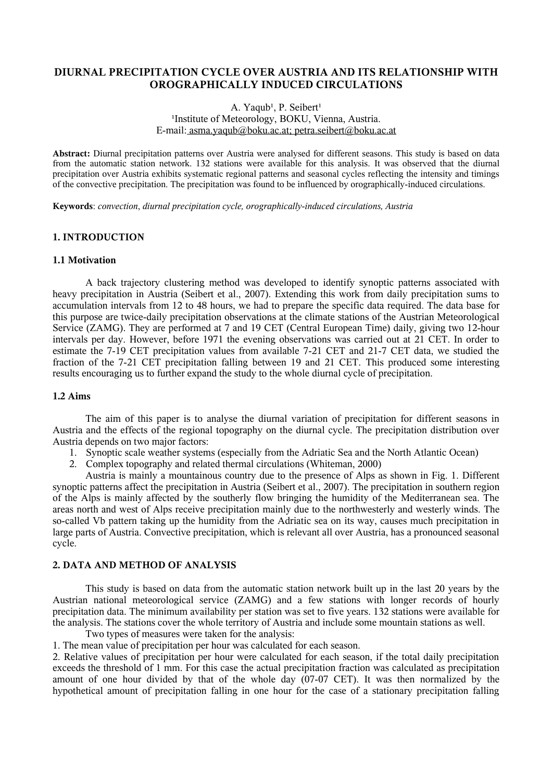# **DIURNAL PRECIPITATION CYCLE OVER AUSTRIA AND ITS RELATIONSHIP WITH OROGRAPHICALLY INDUCED CIRCULATIONS**

## A. Yaqub<sup>1</sup>, P. Seibert<sup>1</sup> <sup>1</sup>Institute of Meteorology, BOKU, Vienna, Austria. E-mail: [asma.yaqub@boku.ac.at;](mailto:asma.yaqub@groupwise.boku.ac.at) [petra.seibert@boku.ac.at](mailto:petra.seibert@groupwise.boku.ac.at)

**Abstract:** Diurnal precipitation patterns over Austria were analysed for different seasons. This study is based on data from the automatic station network. 132 stations were available for this analysis. It was observed that the diurnal precipitation over Austria exhibits systematic regional patterns and seasonal cycles reflecting the intensity and timings of the convective precipitation. The precipitation was found to be influenced by orographically-induced circulations.

**Keywords**: *convection*, *diurnal precipitation cycle, orographically-induced circulations, Austria*

## **1. INTRODUCTION**

## **1.1 Motivation**

A back trajectory clustering method was developed to identify synoptic patterns associated with heavy precipitation in Austria (Seibert et al., 2007). Extending this work from daily precipitation sums to accumulation intervals from 12 to 48 hours, we had to prepare the specific data required. The data base for this purpose are twice-daily precipitation observations at the climate stations of the Austrian Meteorological Service (ZAMG). They are performed at 7 and 19 CET (Central European Time) daily, giving two 12-hour intervals per day. However, before 1971 the evening observations was carried out at 21 CET. In order to estimate the 7-19 CET precipitation values from available 7-21 CET and 21-7 CET data, we studied the fraction of the 7-21 CET precipitation falling between 19 and 21 CET. This produced some interesting results encouraging us to further expand the study to the whole diurnal cycle of precipitation.

## **1.2 Aims**

The aim of this paper is to analyse the diurnal variation of precipitation for different seasons in Austria and the effects of the regional topography on the diurnal cycle. The precipitation distribution over Austria depends on two major factors:

- 1. Synoptic scale weather systems (especially from the Adriatic Sea and the North Atlantic Ocean)
- 2. Complex topography and related thermal circulations (Whiteman, 2000)

Austria is mainly a mountainous country due to the presence of Alps as shown in Fig. 1. Different synoptic patterns affect the precipitation in Austria (Seibert et al., 2007). The precipitation in southern region of the Alps is mainly affected by the southerly flow bringing the humidity of the Mediterranean sea. The areas north and west of Alps receive precipitation mainly due to the northwesterly and westerly winds. The so-called Vb pattern taking up the humidity from the Adriatic sea on its way, causes much precipitation in large parts of Austria. Convective precipitation, which is relevant all over Austria, has a pronounced seasonal cycle.

## **2. DATA AND METHOD OF ANALYSIS**

This study is based on data from the automatic station network built up in the last 20 years by the Austrian national meteorological service (ZAMG) and a few stations with longer records of hourly precipitation data. The minimum availability per station was set to five years. 132 stations were available for the analysis. The stations cover the whole territory of Austria and include some mountain stations as well.

Two types of measures were taken for the analysis:

1. The mean value of precipitation per hour was calculated for each season.

2. Relative values of precipitation per hour were calculated for each season, if the total daily precipitation exceeds the threshold of 1 mm. For this case the actual precipitation fraction was calculated as precipitation amount of one hour divided by that of the whole day (07-07 CET). It was then normalized by the hypothetical amount of precipitation falling in one hour for the case of a stationary precipitation falling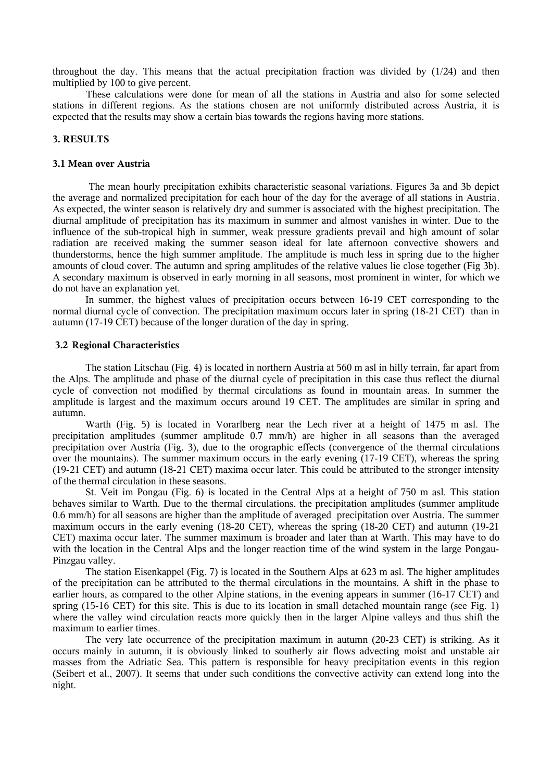throughout the day. This means that the actual precipitation fraction was divided by (1/24) and then multiplied by 100 to give percent.

These calculations were done for mean of all the stations in Austria and also for some selected stations in different regions. As the stations chosen are not uniformly distributed across Austria, it is expected that the results may show a certain bias towards the regions having more stations.

# **3. RESULTS**

#### **3.1 Mean over Austria**

The mean hourly precipitation exhibits characteristic seasonal variations. Figures 3a and 3b depict the average and normalized precipitation for each hour of the day for the average of all stations in Austria. As expected, the winter season is relatively dry and summer is associated with the highest precipitation. The diurnal amplitude of precipitation has its maximum in summer and almost vanishes in winter. Due to the influence of the sub-tropical high in summer, weak pressure gradients prevail and high amount of solar radiation are received making the summer season ideal for late afternoon convective showers and thunderstorms, hence the high summer amplitude. The amplitude is much less in spring due to the higher amounts of cloud cover. The autumn and spring amplitudes of the relative values lie close together (Fig 3b). A secondary maximum is observed in early morning in all seasons, most prominent in winter, for which we do not have an explanation yet.

In summer, the highest values of precipitation occurs between 16-19 CET corresponding to the normal diurnal cycle of convection. The precipitation maximum occurs later in spring (18-21 CET) than in autumn (17-19 CET) because of the longer duration of the day in spring.

# **3.2 Regional Characteristics**

The station Litschau (Fig. 4) is located in northern Austria at 560 m asl in hilly terrain, far apart from the Alps. The amplitude and phase of the diurnal cycle of precipitation in this case thus reflect the diurnal cycle of convection not modified by thermal circulations as found in mountain areas. In summer the amplitude is largest and the maximum occurs around 19 CET. The amplitudes are similar in spring and autumn.

Warth (Fig. 5) is located in Vorarlberg near the Lech river at a height of 1475 m asl. The precipitation amplitudes (summer amplitude 0.7 mm/h) are higher in all seasons than the averaged precipitation over Austria (Fig. 3), due to the orographic effects (convergence of the thermal circulations over the mountains). The summer maximum occurs in the early evening (17-19 CET), whereas the spring (19-21 CET) and autumn (18-21 CET) maxima occur later. This could be attributed to the stronger intensity of the thermal circulation in these seasons.

St. Veit im Pongau (Fig. 6) is located in the Central Alps at a height of 750 m asl. This station behaves similar to Warth. Due to the thermal circulations, the precipitation amplitudes (summer amplitude 0.6 mm/h) for all seasons are higher than the amplitude of averaged precipitation over Austria. The summer maximum occurs in the early evening (18-20 CET), whereas the spring (18-20 CET) and autumn (19-21 CET) maxima occur later. The summer maximum is broader and later than at Warth. This may have to do with the location in the Central Alps and the longer reaction time of the wind system in the large Pongau-Pinzgau valley.

The station Eisenkappel (Fig. 7) is located in the Southern Alps at 623 m asl. The higher amplitudes of the precipitation can be attributed to the thermal circulations in the mountains. A shift in the phase to earlier hours, as compared to the other Alpine stations, in the evening appears in summer (16-17 CET) and spring (15-16 CET) for this site. This is due to its location in small detached mountain range (see Fig. 1) where the valley wind circulation reacts more quickly then in the larger Alpine valleys and thus shift the maximum to earlier times.

The very late occurrence of the precipitation maximum in autumn (20-23 CET) is striking. As it occurs mainly in autumn, it is obviously linked to southerly air flows advecting moist and unstable air masses from the Adriatic Sea. This pattern is responsible for heavy precipitation events in this region (Seibert et al., 2007). It seems that under such conditions the convective activity can extend long into the night.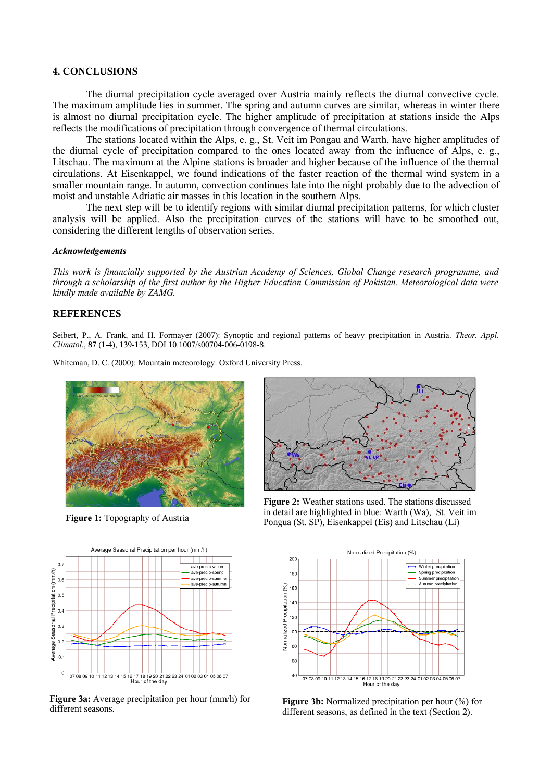# **4. CONCLUSIONS**

The diurnal precipitation cycle averaged over Austria mainly reflects the diurnal convective cycle. The maximum amplitude lies in summer. The spring and autumn curves are similar, whereas in winter there is almost no diurnal precipitation cycle. The higher amplitude of precipitation at stations inside the Alps reflects the modifications of precipitation through convergence of thermal circulations.

The stations located within the Alps, e. g., St. Veit im Pongau and Warth, have higher amplitudes of the diurnal cycle of precipitation compared to the ones located away from the influence of Alps, e. g., Litschau. The maximum at the Alpine stations is broader and higher because of the influence of the thermal circulations. At Eisenkappel, we found indications of the faster reaction of the thermal wind system in a smaller mountain range. In autumn, convection continues late into the night probably due to the advection of moist and unstable Adriatic air masses in this location in the southern Alps.

The next step will be to identify regions with similar diurnal precipitation patterns, for which cluster analysis will be applied. Also the precipitation curves of the stations will have to be smoothed out, considering the different lengths of observation series.

#### *Acknowledgements*

*This work is financially supported by the Austrian Academy of Sciences, Global Change research programme, and* through a scholarship of the first author by the Higher Education Commission of Pakistan. Meteorological data were *kindly made available by ZAMG.*

## **REFERENCES**

Seibert, P., A. Frank, and H. [Formayer](http://dx.doi.org/10.1007/s00704-006-0198-8) (2007): Synoptic and regional patterns of heavy precipitation in Austria. *Theor. Appl. Climatol.*, **87** (1-4), 139-153, DOI 10.1007/s00704-006-0198-8.

Whiteman, D. C. (2000): Mountain meteorology. Oxford University Press.



**Figure 1:** Topography of Austria



**Figure 3a:** Average precipitation per hour (mm/h) for different seasons.



**Figure 2:** Weather stations used. The stations discussed in detail are highlighted in blue: Warth (Wa), St. Veit im Pongua (St. SP), Eisenkappel (Eis) and Litschau (Li)



**Figure 3b:** Normalized precipitation per hour (%) for different seasons, as defined in the text (Section 2).